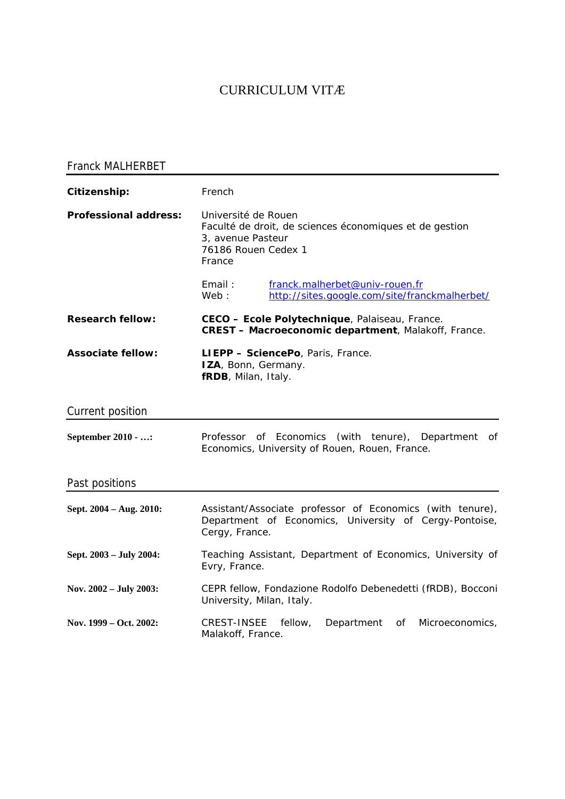# CURRICULUM VITÆ

# Franck MALHERBET

| Citizenship:                 | French                                                                                                                                |
|------------------------------|---------------------------------------------------------------------------------------------------------------------------------------|
| <b>Professional address:</b> | Université de Rouen<br>Faculté de droit, de sciences économiques et de gestion<br>3, avenue Pasteur<br>76186 Rouen Cedex 1<br>France  |
|                              | Email:<br>franck.malherbet@univ-rouen.fr<br>http://sites.google.com/site/franckmalherbet/<br>Web:                                     |
| <b>Research fellow:</b>      | CECO - Ecole Polytechnique, Palaiseau, France.<br><b>CREST - Macroeconomic department, Malakoff, France.</b>                          |
| <b>Associate fellow:</b>     | LIEPP - SciencePo, Paris, France.<br>IZA, Bonn, Germany.<br>fRDB, Milan, Italy.                                                       |
| Current position             |                                                                                                                                       |
| September 2010 - :           | Professor of Economics (with tenure),<br>Department<br>of<br>Economics, University of Rouen, Rouen, France.                           |
| Past positions               |                                                                                                                                       |
| Sept. 2004 - Aug. 2010:      | Assistant/Associate professor of Economics (with tenure),<br>Department of Economics, University of Cergy-Pontoise,<br>Cergy, France. |
| Sept. 2003 - July 2004:      | Teaching Assistant, Department of Economics, University of<br>Evry, France.                                                           |
| Nov. 2002 - July 2003:       | CEPR fellow, Fondazione Rodolfo Debenedetti (fRDB), Bocconi<br>University, Milan, Italy.                                              |
| Nov. 1999 – Oct. 2002:       | <b>CREST-INSEE</b><br>fellow,<br>Department<br>οf<br>Microeconomics,<br>Malakoff, France.                                             |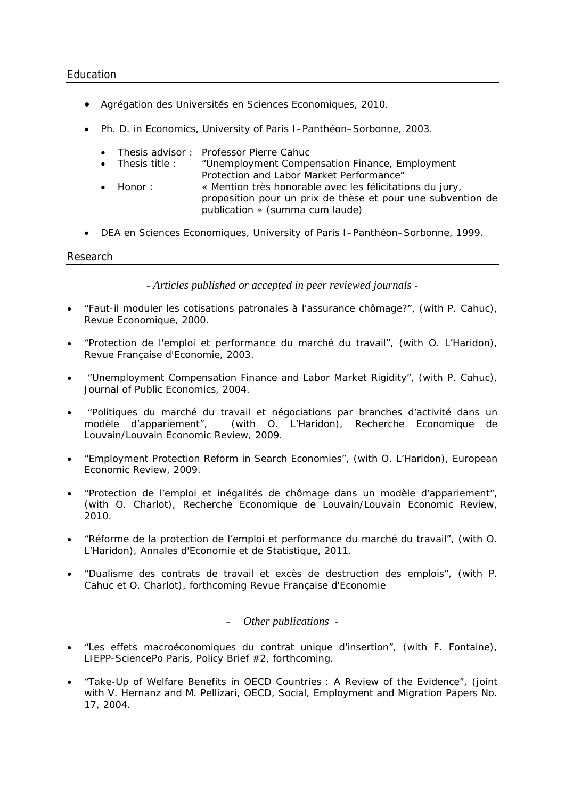- Agrégation des Universités en Sciences Economiques, 2010.
- Ph. D. in Economics, University of Paris I–Panthéon–Sorbonne, 2003.
	- Thesis advisor : Professor Pierre Cahuc
	- Thesis title : "*Unemployment Compensation Finance, Employment Protection and Labor Market Performance*"
	- Honor : « *Mention très honorable avec les félicitations du jury, proposition pour un prix de thèse et pour une subvention de publication » (summa cum laude)*
- DEA en Sciences Economiques, University of Paris I–Panthéon–Sorbonne, 1999.

## Research

*- Articles published or accepted in peer reviewed journals -* 

- "Faut-il moduler les cotisations patronales à l'assurance chômage?", (with P. Cahuc)*, Revue Economique*, 2000.
- "Protection de l'emploi et performance du marché du travail", (with O. L'Haridon), *Revue Française d'Economie*, 2003.
- "Unemployment Compensation Finance and Labor Market Rigidity", (with P. Cahuc)*, Journal of Public Economics*, 2004.
- "Politiques du marché du travail et négociations par branches d'activité dans un modèle d'appariement", (with O. L'Haridon), *Recherche Economique de Louvain*/*Louvain Economic Review,* 2009.
- "Employment Protection Reform in Search Economies", (with O. L'Haridon), *European Economic Review*, 2009.
- "Protection de l'emploi et inégalités de chômage dans un modèle d'appariement", (with O. Charlot), *Recherche Economique de Louvain/Louvain Economic Review,*  2010*.*
- "Réforme de la protection de l'emploi et performance du marché du travail", (with O. L'Haridon), *Annales d'Economie et de Statistique,* 2011*.*
- "Dualisme des contrats de travail et excès de destruction des emplois", (with P. Cahuc et O. Charlot), *forthcoming Revue Française d'Economie*

# - *Other publications -*

- "Les effets macroéconomiques du contrat unique d'insertion", (with F. Fontaine), LIEPP-SciencePo Paris, Policy Brief #2, *forthcoming*.
- "Take-Up of Welfare Benefits in OECD Countries : A Review of the Evidence", (joint with V. Hernanz and M. Pellizari, OECD, Social, Employment and Migration Papers No. 17, 2004.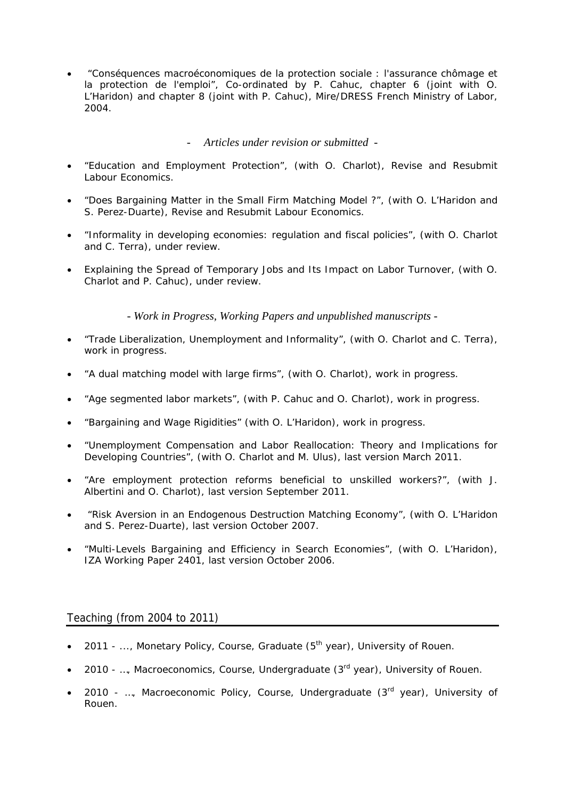• "Conséquences macroéconomiques de la protection sociale : l'assurance chômage et la protection de l'emploi", Co-ordinated by P. Cahuc, chapter 6 (joint with O. L'Haridon) and chapter 8 (joint with P. Cahuc), Mire/DRESS French Ministry of Labor, 2004.

# - *Articles under revision or submitted -*

- "Education and Employment Protection", (with O. Charlot), *Revise and Resubmit Labour Economics*.
- "Does Bargaining Matter in the Small Firm Matching Model ?", (with O. L'Haridon and S. Perez-Duarte), *Revise and Resubmit Labour Economics*.
- "Informality in developing economies: regulation and fiscal policies", (with O. Charlot and C. Terra), *under review*.
- Explaining the Spread of Temporary Jobs and Its Impact on Labor Turnover, (with O. Charlot and P. Cahuc), *under review*.

*- Work in Progress, Working Papers and unpublished manuscripts -*

- "Trade Liberalization, Unemployment and Informality", (with O. Charlot and C. Terra), *work in progress*.
- "A dual matching model with large firms", (with O. Charlot), *work in progress*.
- "Age segmented labor markets", (with P. Cahuc and O. Charlot), *work in progress*.
- "Bargaining and Wage Rigidities" (with O. L'Haridon), *work in progress.*
- "Unemployment Compensation and Labor Reallocation: Theory and Implications for Developing Countries", (with O. Charlot and M. Ulus), last version March 2011.
- "Are employment protection reforms beneficial to unskilled workers?", (with J. Albertini and O. Charlot), last version September 2011.
- "Risk Aversion in an Endogenous Destruction Matching Economy", (with O. L'Haridon and S. Perez-Duarte), last version October 2007.
- "Multi-Levels Bargaining and Efficiency in Search Economies", (with O. L'Haridon), *IZA Working Paper* 2401, last version October 2006.

# Teaching (from 2004 to 2011)

- 2011 ..., Monetary Policy, Course, Graduate  $(5<sup>th</sup>$  year), University of Rouen.
- 2010 ..., Macroeconomics, Course, Undergraduate  $(3^{rd}$  year), University of Rouen.
- 2010 ..., Macroeconomic Policy, Course, Undergraduate  $(3<sup>rd</sup>$  year), University of Rouen.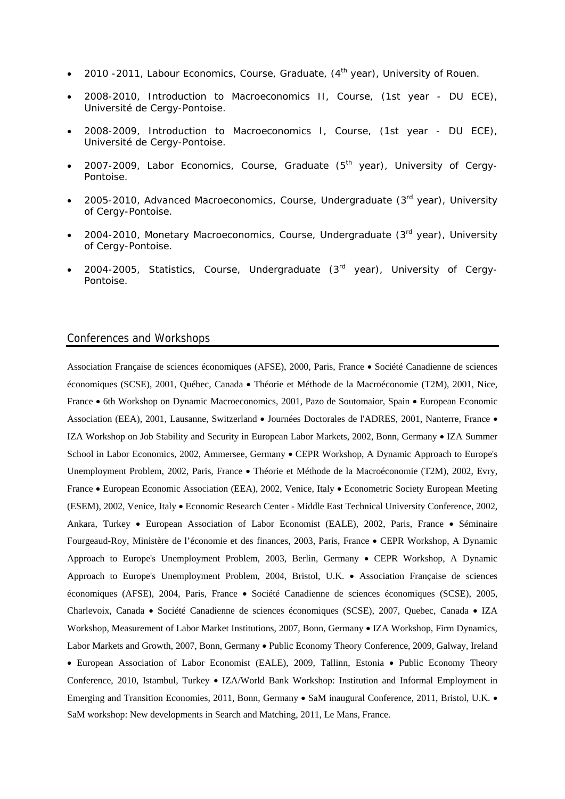- 2010 -2011, Labour Economics, Course, Graduate,  $(4^{th}$  year), University of Rouen.
- 2008-2010, Introduction to Macroeconomics II, Course, (1st year DU ECE), Université de Cergy-Pontoise.
- 2008-2009, Introduction to Macroeconomics I, Course, (1st year DU ECE), Université de Cergy-Pontoise.
- 2007-2009, Labor Economics, Course, Graduate  $(5<sup>th</sup>$  year), University of Cergy-Pontoise.
- 2005-2010, Advanced Macroeconomics, Course, Undergraduate (3rd year), University of Cergy-Pontoise.
- 2004-2010, Monetary Macroeconomics, Course, Undergraduate (3rd year), University of Cergy-Pontoise.
- 2004-2005, Statistics, Course, Undergraduate (3rd year), University of Cergy-Pontoise.

#### Conferences and Workshops

Association Française de sciences économiques (AFSE), 2000, Paris, France • Société Canadienne de sciences économiques (SCSE), 2001, Québec, Canada • Théorie et Méthode de la Macroéconomie (T2M), 2001, Nice, France • 6th Workshop on Dynamic Macroeconomics, 2001, Pazo de Soutomaior, Spain • European Economic Association (EEA), 2001, Lausanne, Switzerland • Journées Doctorales de l'ADRES, 2001, Nanterre, France • IZA Workshop on Job Stability and Security in European Labor Markets, 2002, Bonn, Germany • IZA Summer School in Labor Economics, 2002, Ammersee, Germany • CEPR Workshop, A Dynamic Approach to Europe's Unemployment Problem, 2002, Paris, France • Théorie et Méthode de la Macroéconomie (T2M), 2002, Evry, France • European Economic Association (EEA), 2002, Venice, Italy • Econometric Society European Meeting (ESEM), 2002, Venice, Italy • Economic Research Center - Middle East Technical University Conference, 2002, Ankara, Turkey • European Association of Labor Economist (EALE), 2002, Paris, France • Séminaire Fourgeaud-Roy, Ministère de l'économie et des finances, 2003, Paris, France • CEPR Workshop, A Dynamic Approach to Europe's Unemployment Problem, 2003, Berlin, Germany • CEPR Workshop, A Dynamic Approach to Europe's Unemployment Problem, 2004, Bristol, U.K. • Association Française de sciences économiques (AFSE), 2004, Paris, France • Société Canadienne de sciences économiques (SCSE), 2005, Charlevoix, Canada • Société Canadienne de sciences économiques (SCSE), 2007, Quebec, Canada • IZA Workshop, Measurement of Labor Market Institutions, 2007, Bonn, Germany • IZA Workshop, Firm Dynamics, Labor Markets and Growth, 2007, Bonn, Germany • Public Economy Theory Conference, 2009, Galway, Ireland • European Association of Labor Economist (EALE), 2009, Tallinn, Estonia • Public Economy Theory Conference, 2010, Istambul, Turkey • IZA/World Bank Workshop: Institution and Informal Employment in Emerging and Transition Economies, 2011, Bonn, Germany • SaM inaugural Conference, 2011, Bristol, U.K. • SaM workshop: New developments in Search and Matching, 2011, Le Mans, France.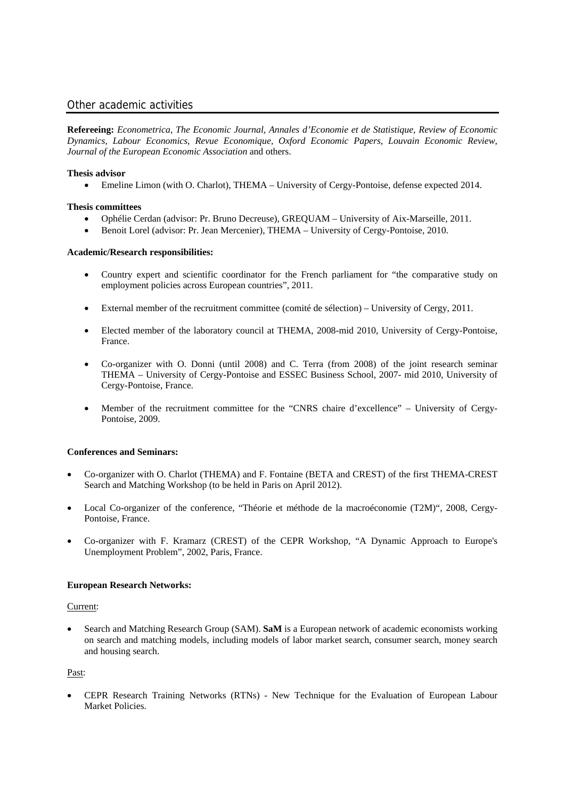### Other academic activities

**Refereeing:** *Econometrica*, *The Economic Journal*, *Annales d'Economie et de Statistique*, *Review of Economic Dynamics*, *Labour Economics*, *Revue Economique, Oxford Economic Papers*, *Louvain Economic Review*, *Journal of the European Economic Association* and others.

#### **Thesis advisor**

• Emeline Limon (with O. Charlot), THEMA – University of Cergy-Pontoise, defense expected 2014.

#### **Thesis committees**

- Ophélie Cerdan (advisor: Pr. Bruno Decreuse), GREQUAM University of Aix-Marseille, 2011.
- Benoit Lorel (advisor: Pr. Jean Mercenier), THEMA University of Cergy-Pontoise, 2010.

#### **Academic/Research responsibilities:**

- Country expert and scientific coordinator for the French parliament for "the comparative study on employment policies across European countries", 2011.
- External member of the recruitment committee (comité de sélection) University of Cergy, 2011.
- Elected member of the laboratory council at THEMA, 2008-mid 2010, University of Cergy-Pontoise, France.
- Co-organizer with O. Donni (until 2008) and C. Terra (from 2008) of the joint research seminar THEMA – University of Cergy-Pontoise and ESSEC Business School, 2007- mid 2010, University of Cergy-Pontoise, France.
- Member of the recruitment committee for the "CNRS chaire d'excellence" University of Cergy-Pontoise, 2009.

#### **Conferences and Seminars:**

- Co-organizer with O. Charlot (THEMA) and F. Fontaine (BETA and CREST) of the first THEMA-CREST Search and Matching Workshop (to be held in Paris on April 2012).
- Local Co-organizer of the conference, "Théorie et méthode de la macroéconomie (T2M)", 2008, Cergy-Pontoise, France.
- Co-organizer with F. Kramarz (CREST) of the CEPR Workshop, "A Dynamic Approach to Europe's Unemployment Problem", 2002, Paris, France.

#### **European Research Networks:**

#### Current:

• Search and Matching Research Group (SAM). **SaM** is a European network of academic economists working on search and matching models, including models of labor market search, consumer search, money search and housing search.

### Past:

• CEPR Research Training Networks (RTNs) - New Technique for the Evaluation of European Labour Market Policies.